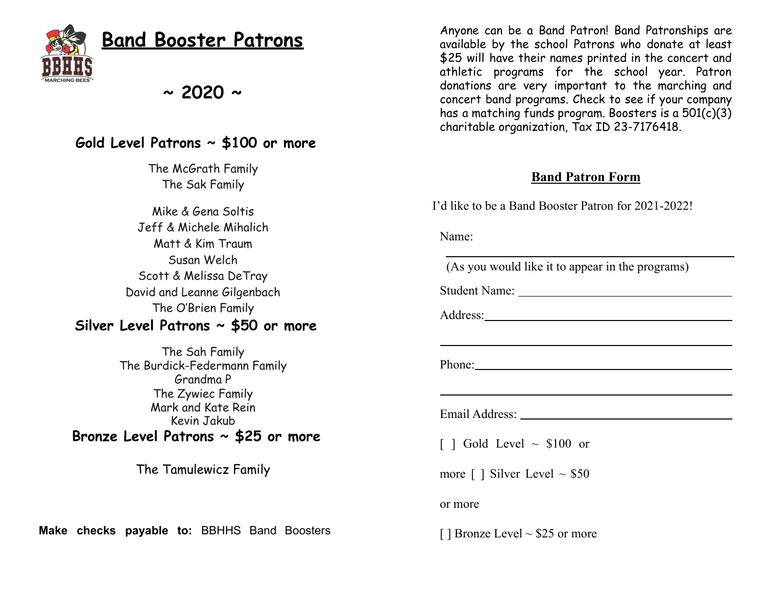

## **Band Booster Patrons**

**~ 2020 ~**

## **Gold Level Patrons ~ \$100 or more**

The McGrath Family The Sak Family

Mike & Gena Soltis Jeff & Michele Mihalich Matt & Kim Traum Susan Welch Scott & Melissa DeTray David and Leanne Gilgenbach The O'Brien Family

## **Silver Level Patrons ~ \$50 or more**

The Sah Family The Burdick-Federmann Family Grandma P The Zywiec Family Mark and Kate Rein Kevin Jakub **Bronze Level Patrons ~ \$25 or more**

The Tamulewicz Family

**Make checks payable to:** BBHHS Band Boosters

Anyone can be a Band Patron! Band Patronships are available by the school Patrons who donate at least \$25 will have their names printed in the concert and athletic programs for the school year. Patron donations are very important to the marching and concert band programs. Check to see if your company has a matching funds program. Boosters is a 501(c)(3) charitable organization, Tax ID 23-7176418.

## **Band Patron Form**

I'd like to be a Band Booster Patron for 2021-2022!

Name:

(As you would like it to appear in the programs)

Student Name:

Address:

Phone:

Email Address:

 $\lceil$  1 Gold Level  $\sim$  \$100 or

more  $\lceil \cdot \rceil$  Silver Level  $\sim$  \$50

or more

 $\lceil \cdot \rceil$  Bronze Level  $\sim$  \$25 or more